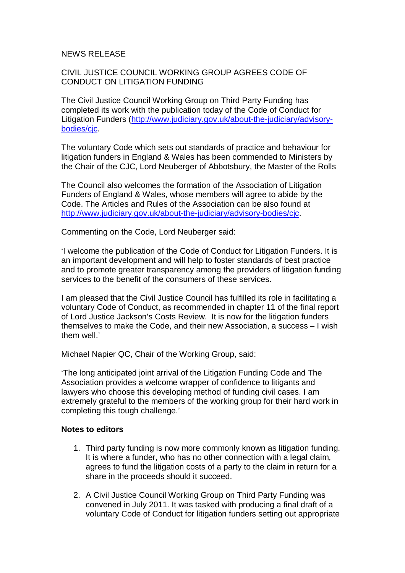## NEWS RELEASE

## CIVIL JUSTICE COUNCIL WORKING GROUP AGREES CODE OF CONDUCT ON LITIGATION FUNDING

The Civil Justice Council Working Group on Third Party Funding has completed its work with the publication today of the Code of Conduct for Litigation Funders (http://www.judiciary.gov.uk/about-the-judiciary/advisorybodies/cjc.

The voluntary Code which sets out standards of practice and behaviour for litigation funders in England & Wales has been commended to Ministers by the Chair of the CJC, Lord Neuberger of Abbotsbury, the Master of the Rolls

The Council also welcomes the formation of the Association of Litigation Funders of England & Wales, whose members will agree to abide by the Code. The Articles and Rules of the Association can be also found at http://www.judiciary.gov.uk/about-the-judiciary/advisory-bodies/cjc.

Commenting on the Code, Lord Neuberger said:

'I welcome the publication of the Code of Conduct for Litigation Funders. It is an important development and will help to foster standards of best practice and to promote greater transparency among the providers of litigation funding services to the benefit of the consumers of these services.

I am pleased that the Civil Justice Council has fulfilled its role in facilitating a voluntary Code of Conduct, as recommended in chapter 11 of the final report of Lord Justice Jackson's Costs Review. It is now for the litigation funders themselves to make the Code, and their new Association, a success – I wish them well.'

Michael Napier QC, Chair of the Working Group, said:

'The long anticipated joint arrival of the Litigation Funding Code and The Association provides a welcome wrapper of confidence to litigants and lawyers who choose this developing method of funding civil cases. I am extremely grateful to the members of the working group for their hard work in completing this tough challenge.'

## **Notes to editors**

- 1. Third party funding is now more commonly known as litigation funding. It is where a funder, who has no other connection with a legal claim, agrees to fund the litigation costs of a party to the claim in return for a share in the proceeds should it succeed.
- 2. A Civil Justice Council Working Group on Third Party Funding was convened in July 2011. It was tasked with producing a final draft of a voluntary Code of Conduct for litigation funders setting out appropriate